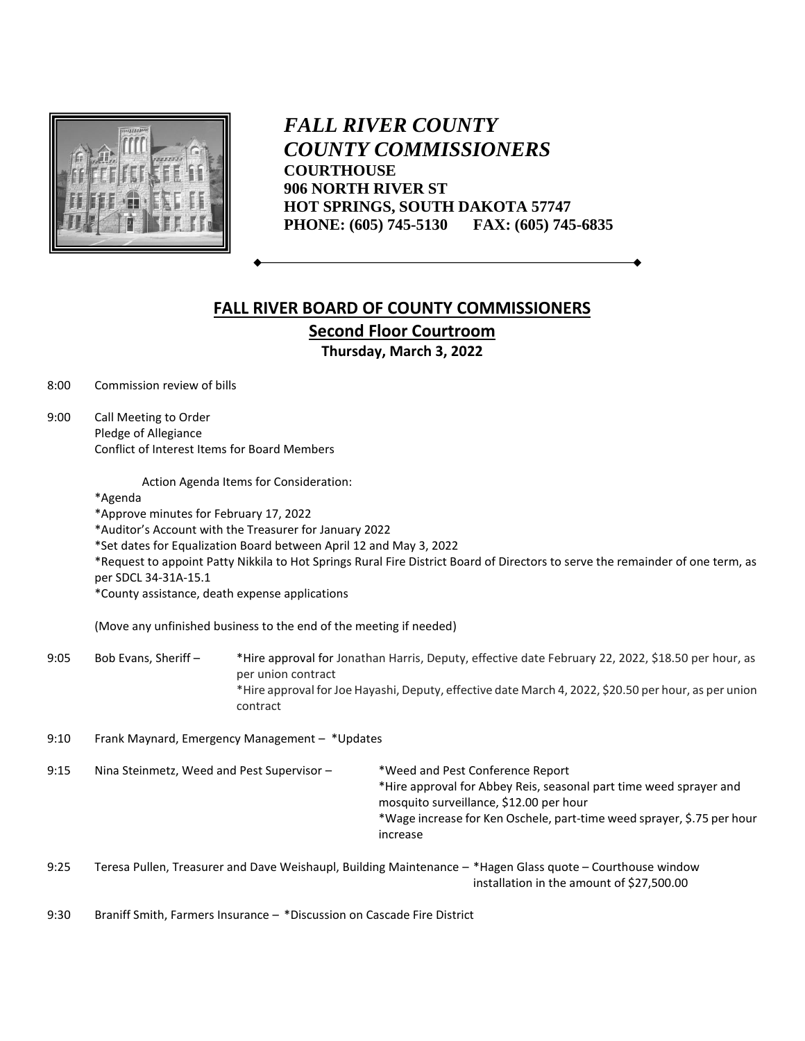

*FALL RIVER COUNTY COUNTY COMMISSIONERS* **COURTHOUSE 906 NORTH RIVER ST HOT SPRINGS, SOUTH DAKOTA 57747 PHONE: (605) 745-5130 FAX: (605) 745-6835**

## **FALL RIVER BOARD OF COUNTY COMMISSIONERS Second Floor Courtroom**

**Thursday, March 3, 2022**

8:00 Commission review of bills

9:00 Call Meeting to Order Pledge of Allegiance Conflict of Interest Items for Board Members

Action Agenda Items for Consideration:

\*Agenda

\*Approve minutes for February 17, 2022

\*Auditor's Account with the Treasurer for January 2022

\*Set dates for Equalization Board between April 12 and May 3, 2022

\*Request to appoint Patty Nikkila to Hot Springs Rural Fire District Board of Directors to serve the remainder of one term, as per SDCL 34-31A-15.1

\*County assistance, death expense applications

(Move any unfinished business to the end of the meeting if needed)

- 9:05 Bob Evans, Sheriff \*Hire approval for Jonathan Harris, Deputy, effective date February 22, 2022, \$18.50 per hour, as per union contract \*Hire approval for Joe Hayashi, Deputy, effective date March 4, 2022, \$20.50 per hour, as per union contract
- 9:10 Frank Maynard, Emergency Management \*Updates
- 9:15 Nina Steinmetz, Weed and Pest Supervisor \*Weed and Pest Conference Report \*Hire approval for Abbey Reis, seasonal part time weed sprayer and mosquito surveillance, \$12.00 per hour \*Wage increase for Ken Oschele, part-time weed sprayer, \$.75 per hour increase
- 9:25 Teresa Pullen, Treasurer and Dave Weishaupl, Building Maintenance \*Hagen Glass quote Courthouse window installation in the amount of \$27,500.00

9:30 Braniff Smith, Farmers Insurance – \*Discussion on Cascade Fire District